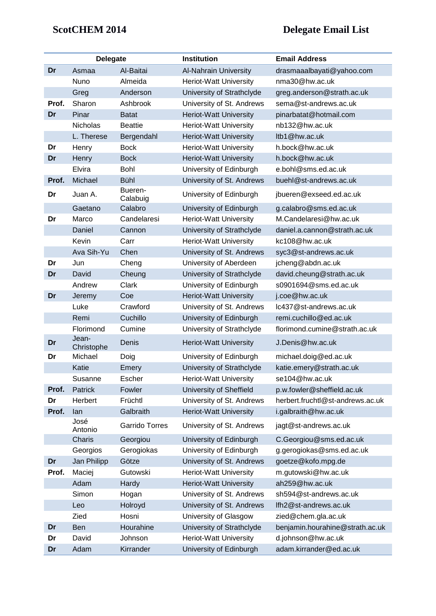## **ScotCHEM 2014 Delegate Email List**

|       | <b>Delegate</b>     |                       | <b>Institution</b>            | <b>Email Address</b>             |
|-------|---------------------|-----------------------|-------------------------------|----------------------------------|
| Dr    | Asmaa               | Al-Baitai             | <b>Al-Nahrain University</b>  | drasmaaalbayati@yahoo.com        |
|       | Nuno                | Almeida               | <b>Heriot-Watt University</b> | nma30@hw.ac.uk                   |
|       | Greg                | Anderson              | University of Strathclyde     | greg.anderson@strath.ac.uk       |
| Prof. | Sharon              | Ashbrook              | University of St. Andrews     | sema@st-andrews.ac.uk            |
| Dr    | Pinar               | <b>Batat</b>          | <b>Heriot-Watt University</b> | pinarbatat@hotmail.com           |
|       | <b>Nicholas</b>     | <b>Beattie</b>        | <b>Heriot-Watt University</b> | nb132@hw.ac.uk                   |
|       | L. Therese          | Bergendahl            | <b>Heriot-Watt University</b> | ltb1@hw.ac.uk                    |
| Dr    | Henry               | <b>Bock</b>           | <b>Heriot-Watt University</b> | h.bock@hw.ac.uk                  |
| Dr    | Henry               | <b>Bock</b>           | <b>Heriot-Watt University</b> | h.bock@hw.ac.uk                  |
|       | Elvira              | Bohl                  | University of Edinburgh       | e.bohl@sms.ed.ac.uk              |
| Prof. | Michael             | <b>Bühl</b>           | University of St. Andrews     | buehl@st-andrews.ac.uk           |
| Dr    | Juan A.             | Bueren-<br>Calabuig   | University of Edinburgh       | jbueren@exseed.ed.ac.uk          |
|       | Gaetano             | Calabro               | University of Edinburgh       | g.calabro@sms.ed.ac.uk           |
| Dr    | Marco               | Candelaresi           | <b>Heriot-Watt University</b> | M.Candelaresi@hw.ac.uk           |
|       | Daniel              | Cannon                | University of Strathclyde     | daniel.a.cannon@strath.ac.uk     |
|       | Kevin               | Carr                  | <b>Heriot-Watt University</b> | kc108@hw.ac.uk                   |
|       | Ava Sih-Yu          | Chen                  | University of St. Andrews     | syc3@st-andrews.ac.uk            |
| Dr    | Jun                 | Cheng                 | University of Aberdeen        | jcheng@abdn.ac.uk                |
| Dr    | David               | Cheung                | University of Strathclyde     | david.cheung@strath.ac.uk        |
|       | Andrew              | Clark                 | University of Edinburgh       | s0901694@sms.ed.ac.uk            |
| Dr    | Jeremy              | Coe                   | <b>Heriot-Watt University</b> | j.coe@hw.ac.uk                   |
|       | Luke                | Crawford              | University of St. Andrews     | Ic437@st-andrews.ac.uk           |
|       | Remi                | Cuchillo              | University of Edinburgh       | remi.cuchillo@ed.ac.uk           |
|       | Florimond           | Cumine                | University of Strathclyde     | florimond.cumine@strath.ac.uk    |
| Dr    | Jean-<br>Christophe | Denis                 | <b>Heriot-Watt University</b> | J.Denis@hw.ac.uk                 |
| Dr    | Michael             | Doig                  | University of Edinburgh       | michael.doig@ed.ac.uk            |
|       | Katie               | Emery                 | University of Strathclyde     | katie.emery@strath.ac.uk         |
|       | Susanne             | Escher                | <b>Heriot-Watt University</b> | se104@hw.ac.uk                   |
| Prof. | Patrick             | Fowler                | University of Sheffield       | p.w.fowler@sheffield.ac.uk       |
| Dr    | Herbert             | Früchtl               | University of St. Andrews     | herbert.fruchtl@st-andrews.ac.uk |
| Prof. | lan                 | Galbraith             | <b>Heriot-Watt University</b> | i.galbraith@hw.ac.uk             |
|       | José<br>Antonio     | <b>Garrido Torres</b> | University of St. Andrews     | jagt@st-andrews.ac.uk            |
|       | Charis              | Georgiou              | University of Edinburgh       | C.Georgiou@sms.ed.ac.uk          |
|       | Georgios            | Gerogiokas            | University of Edinburgh       | g.gerogiokas@sms.ed.ac.uk        |
| Dr    | Jan Philipp         | Götze                 | University of St. Andrews     | goetze@kofo.mpg.de               |
| Prof. | Maciej              | Gutowski              | <b>Heriot-Watt University</b> | m.gutowski@hw.ac.uk              |
|       | Adam                | Hardy                 | <b>Heriot-Watt University</b> | ah259@hw.ac.uk                   |
|       | Simon               | Hogan                 | University of St. Andrews     | sh594@st-andrews.ac.uk           |
|       | Leo                 | Holroyd               | University of St. Andrews     | Ifh2@st-andrews.ac.uk            |
|       | Zied                | Hosni                 | University of Glasgow         | zied@chem.gla.ac.uk              |
| Dr    | Ben                 | Hourahine             | University of Strathclyde     | benjamin.hourahine@strath.ac.uk  |
| Dr    | David               | Johnson               | <b>Heriot-Watt University</b> | d.johnson@hw.ac.uk               |
| Dr    | Adam                | Kirrander             | University of Edinburgh       | adam.kirrander@ed.ac.uk          |